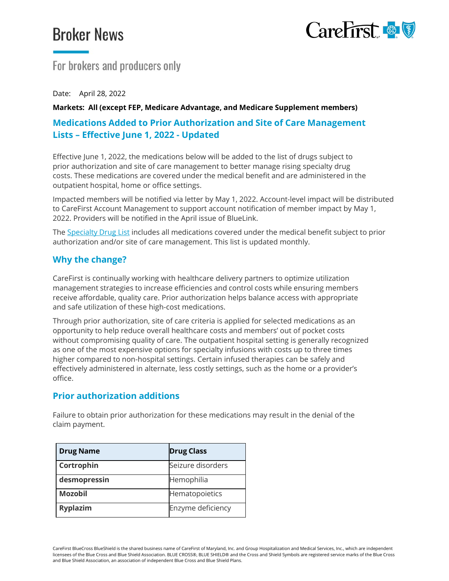# **Broker News**



# For brokers and producers only

Date: April 28, 2022

#### **Markets: All (except FEP, Medicare Advantage, and Medicare Supplement members)**

## **Medications Added to Prior Authorization and Site of Care Management Lists – Effective June 1, 2022 - Updated**

Effective June 1, 2022, the medications below will be added to the list of drugs subject to prior authorization and site of care management to better manage rising specialty drug costs. These medications are covered under the medical benefit and are administered in the outpatient hospital, home or office settings.

Impacted members will be notified via letter by May 1, 2022. Account-level impact will be distributed to CareFirst Account Management to support account notification of member impact by May 1, 2022. Providers will be notified in the April issue of BlueLink.

The [Specialty Drug](https://member.carefirst.com/carefirst-resources/pdf/specialty-pharmacy-drug-list-sum2654-2022.pdf) List includes all medications covered under the medical benefit subject to prior authorization and/or site of care management. This list is updated monthly.

#### **Why the change?**

CareFirst is continually working with healthcare delivery partners to optimize utilization management strategies to increase efficiencies and control costs while ensuring members receive affordable, quality care. Prior authorization helps balance access with appropriate and safe utilization of these high-cost medications.

Through prior authorization, site of care criteria is applied for selected medications as an opportunity to help reduce overall healthcare costs and members' out of pocket costs without compromising quality of care. The outpatient hospital setting is generally recognized as one of the most expensive options for specialty infusions with costs up to three times higher compared to non-hospital settings. Certain infused therapies can be safely and effectively administered in alternate, less costly settings, such as the home or a provider's office.

#### **Prior authorization additions**

Failure to obtain prior authorization for these medications may result in the denial of the claim payment.

| <b>Drug Name</b> | <b>Drug Class</b> |
|------------------|-------------------|
| Cortrophin       | Seizure disorders |
| desmopressin     | Hemophilia        |
| <b>Mozobil</b>   | Hematopoietics    |
| <b>Ryplazim</b>  | Enzyme deficiency |

CareFirst BlueCross BlueShield is the shared business name of CareFirst of Maryland, Inc. and Group Hospitalization and Medical Services, Inc., which are independent licensees of the Blue Cross and Blue Shield Association. BLUE CROSS®, BLUE SHIELD® and the Cross and Shield Symbols are registered service marks of the Blue Cross and Blue Shield Association, an association of independent Blue Cross and Blue Shield Plans.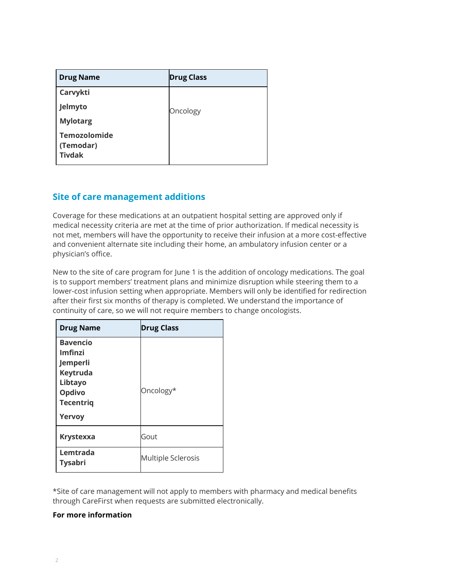| <b>Drug Name</b>                                  | <b>Drug Class</b> |
|---------------------------------------------------|-------------------|
| Carvykti                                          |                   |
| Jelmyto                                           | Oncology          |
| <b>Mylotarg</b>                                   |                   |
| <b>Temozolomide</b><br>(Temodar)<br><b>Tivdak</b> |                   |

## **Site of care management additions**

Coverage for these medications at an outpatient hospital setting are approved only if medical necessity criteria are met at the time of prior authorization. If medical necessity is not met, members will have the opportunity to receive their infusion at a more cost-effective and convenient alternate site including their home, an ambulatory infusion center or a physician's office.

New to the site of care program for June 1 is the addition of oncology medications. The goal is to support members' treatment plans and minimize disruption while steering them to a lower-cost infusion setting when appropriate. Members will only be identified for redirection after their first six months of therapy is completed. We understand the importance of continuity of care, so we will not require members to change oncologists.

| <b>Drug Name</b>                                                                                                    | <b>Drug Class</b>         |
|---------------------------------------------------------------------------------------------------------------------|---------------------------|
| <b>Bavencio</b><br><b>Imfinzi</b><br>Jemperli<br>Keytruda<br>Libtayo<br><b>Opdivo</b><br><b>Tecentrig</b><br>Yervoy | Oncology*                 |
| <b>Krystexxa</b>                                                                                                    | Gout                      |
| Lemtrada<br><b>Tysabri</b>                                                                                          | <b>Multiple Sclerosis</b> |

\*Site of care management will not apply to members with pharmacy and medical benefits through CareFirst when requests are submitted electronically.

#### **For more information**